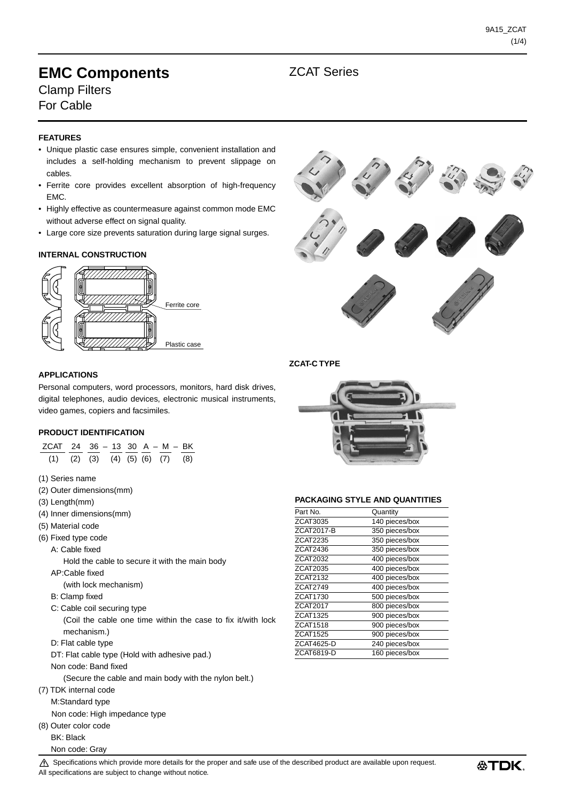## **EMC Components EMC** ZCAT Series Clamp Filters

For Cable

### **FEATURES**

- Unique plastic case ensures simple, convenient installation and includes a self-holding mechanism to prevent slippage on cables.
- Ferrite core provides excellent absorption of high-frequency EMC.
- Highly effective as countermeasure against common mode EMC without adverse effect on signal quality.
- Large core size prevents saturation during large signal surges.

#### **INTERNAL CONSTRUCTION**





#### **ZCAT-C TYPE**

#### **APPLICATIONS**

Personal computers, word processors, monitors, hard disk drives, digital telephones, audio devices, electronic musical instruments, video games, copiers and facsimiles.

#### **PRODUCT IDENTIFICATION**

| ZCAT 24 36 - 13 30 A - M - BK<br>$(2)$ $(3)$ $(4)$ $(5)$ $(6)$ $(7)$<br>(1)<br>(8) |
|------------------------------------------------------------------------------------|
| (1) Series name                                                                    |
| (2) Outer dimensions(mm)                                                           |
| $(3)$ Length $(mm)$                                                                |
| (4) Inner dimensions(mm)                                                           |
| (5) Material code                                                                  |
| (6) Fixed type code                                                                |
| A: Cable fixed                                                                     |
| Hold the cable to secure it with the main body                                     |
| AP:Cable fixed                                                                     |
| (with lock mechanism)                                                              |
| B: Clamp fixed                                                                     |
| C: Cable coil securing type                                                        |
| (Coil the cable one time within the case to fix it/with lock                       |
| mechanism.)                                                                        |
| D: Flat cable type                                                                 |
| DT: Flat cable type (Hold with adhesive pad.)                                      |
| Non code: Band fixed                                                               |
| (Secure the cable and main body with the nylon belt.)                              |
| (7) TDK internal code                                                              |
| M:Standard type                                                                    |
| Non code: High impedance type                                                      |
| (8) Outer color code                                                               |
| <b>BK: Black</b>                                                                   |
| Non code: Gray                                                                     |



#### **PACKAGING STYLE AND QUANTITIES**

| Quantity       |
|----------------|
| 140 pieces/box |
| 350 pieces/box |
| 350 pieces/box |
| 350 pieces/box |
| 400 pieces/box |
| 400 pieces/box |
| 400 pieces/box |
| 400 pieces/box |
| 500 pieces/box |
| 800 pieces/box |
| 900 pieces/box |
| 900 pieces/box |
| 900 pieces/box |
| 240 pieces/box |
| 160 pieces/box |
|                |

 $\triangle$  Specifications which provide more details for the proper and safe use of the described product are available upon request. All specifications are subject to change without notice.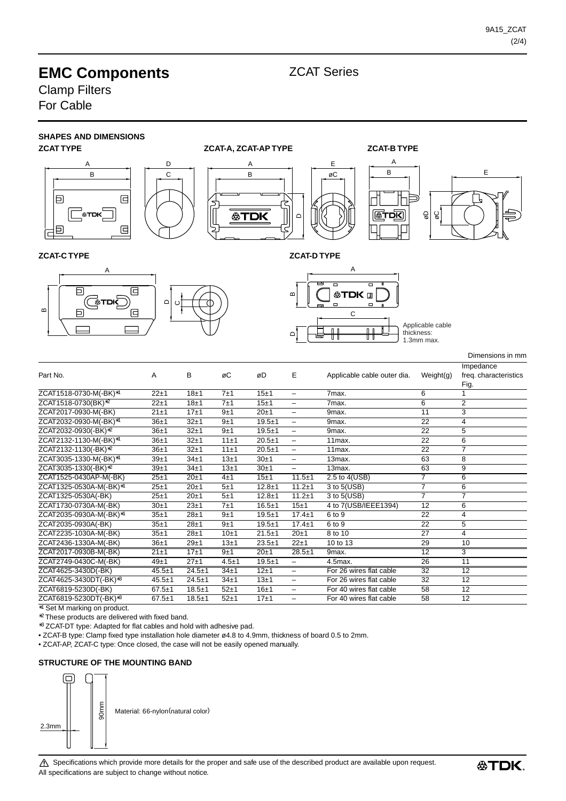# **EMC Components EMC** ZCAT Series

Clamp Filters For Cable



ZCAT6819-5230D(-BK) 67.5±1 18.5±1 52±1 16±1 – For 40 wires flat cable 58 12

∗1 Set M marking on product. ZCAT6819-5230DT(-BK)∗3 67.5±1 18.5±1 52±1 17±1 – For 40 wires flat cable 58 12

∗2 These products are delivered with fixed band.

∗3 ZCAT-DT type: Adapted for flat cables and hold with adhesive pad.

• ZCAT-B type: Clamp fixed type installation hole diameter ø4.8 to 4.9mm, thickness of board 0.5 to 2mm.

• ZCAT-AP, ZCAT-C type: Once closed, the case will not be easily opened manually.

#### **STRUCTURE OF THE MOUNTING BAND**

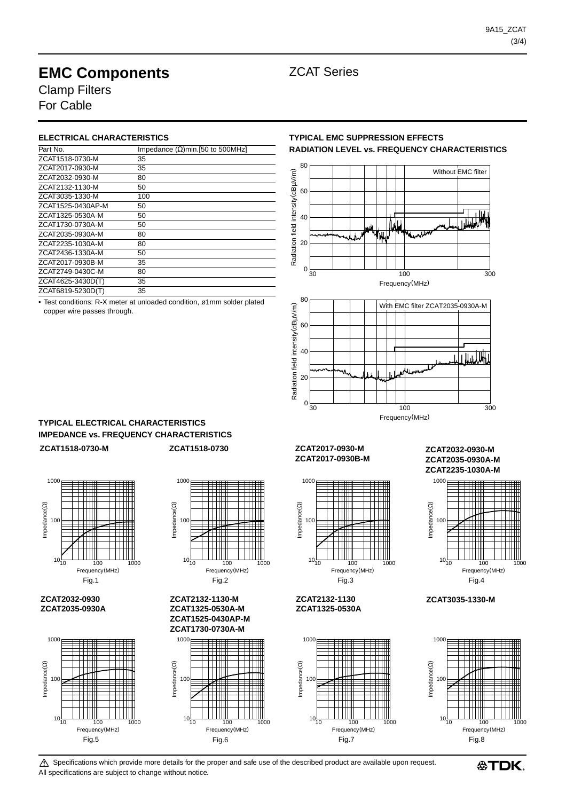# **EMC Components EMC** ZCAT Series

Clamp Filters For Cable

#### **ELECTRICAL CHARACTERISTICS**

| Part No.          | Impedance $(\Omega)$ min. [50 to 500MHz] |
|-------------------|------------------------------------------|
| ZCAT1518-0730-M   | 35                                       |
| ZCAT2017-0930-M   | 35                                       |
| ZCAT2032-0930-M   | 80                                       |
| ZCAT2132-1130-M   | 50                                       |
| ZCAT3035-1330-M   | 100                                      |
| ZCAT1525-0430AP-M | 50                                       |
| ZCAT1325-0530A-M  | 50                                       |
| ZCAT1730-0730A-M  | 50                                       |
| ZCAT2035-0930A-M  | 80                                       |
| ZCAT2235-1030A-M  | 80                                       |
| ZCAT2436-1330A-M  | 50                                       |
| ZCAT2017-0930B-M  | 35                                       |
| ZCAT2749-0430C-M  | 80                                       |
| ZCAT4625-3430D(T) | 35                                       |
| ZCAT6819-5230D(T) | 35                                       |

• Test conditions: R-X meter at unloaded condition, ø1mm solder plated copper wire passes through.

### **TYPICAL EMC SUPPRESSION EFFECTS RADIATION LEVEL vs. FREQUENCY CHARACTERISTICS**





### **TYPICAL ELECTRICAL CHARACTERISTICS IMPEDANCE vs. FREQUENCY CHARACTERISTICS**

1000

**ZCAT2032-0930 ZCAT2035-0930A**

100

Impedance(Ω)

 $m$ pedance $(\Omega)$ 

 $10\frac{1}{10}$ 



10 100 1000

Frequency(MHz)



Frequency(MHz)

**ZCAT2132-1130-M ZCAT1325-0530A-M ZCAT1525-0430AP-M ZCAT1730-0730A-M**



#### **ZCAT1518-0730-M ZCAT1518-0730 ZCAT2017-0930-M ZCAT2017-0930B-M**

 $1000$ 

**ZCAT2132-1130 ZCAT1325-0530A**

100

Impedance(Ω)

 $m$ pedance $(\Omega)$ 

10



10 100 1000

Frequency(MHz)

#### **ZCAT2032-0930-M ZCAT2035-0930A-M ZCAT2235-1030A-M**



**ZCAT3035-1330-M**

 $\triangle$  Specifications which provide more details for the proper and safe use of the described product are available upon request. All specifications are subject to change without notice.



<sup>1000</sup>  $m$ pedance $(\Omega)$ Impedance(Ω) 100  $10\frac{1}{10}$ 10 100 1000 Frequency(MHz)